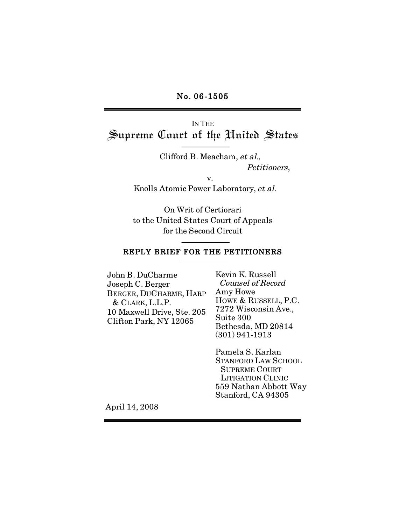#### No. 06-1505

IN THE Supreme Court of the United States

> Clifford B. Meacham, et al., Petitioners,

> > v.

Knolls Atomic Power Laboratory, et al.

On Writ of Certiorari to the United States Court of Appeals for the Second Circuit

#### REPLY BRIEF FOR THE PETITIONERS

John B. DuCharme Joseph C. Berger BERGER, DUCHARME, HARP & CLARK, L.L.P. 10 Maxwell Drive, Ste. 205 Clifton Park, NY 12065

Kevin K. Russell Counsel of Record Amy Howe HOWE & RUSSELL, P.C. 7272 Wisconsin Ave., Suite 300 Bethesda, MD 20814 (301) 941-1913

Pamela S. Karlan STANFORD LAW SCHOOL SUPREME COURT LITIGATION CLINIC 559 Nathan Abbott Way Stanford, CA 94305

April 14, 2008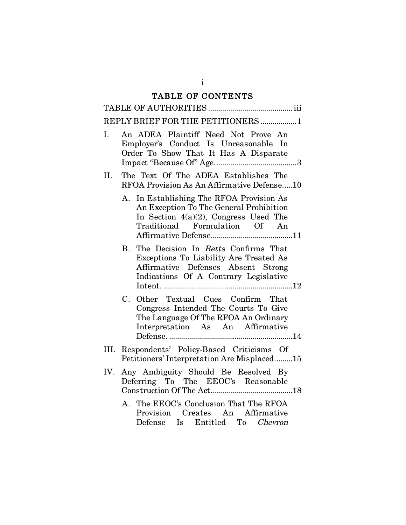# TABLE OF CONTENTS

|                | REPLY BRIEF FOR THE PETITIONERS 1                                                                                                                                              |
|----------------|--------------------------------------------------------------------------------------------------------------------------------------------------------------------------------|
| $\mathbf{I}$ . | An ADEA Plaintiff Need Not Prove An<br>Employer's Conduct Is Unreasonable In<br>Order To Show That It Has A Disparate                                                          |
| II.            | The Text Of The ADEA Establishes The<br>RFOA Provision As An Affirmative Defense10                                                                                             |
|                | In Establishing The RFOA Provision As<br>А.<br>An Exception To The General Prohibition<br>In Section $4(a)(2)$ , Congress Used The<br>Traditional Formulation Of An            |
|                | B. The Decision In <i>Betts</i> Confirms That<br>Exceptions To Liability Are Treated As<br>Affirmative Defenses Absent Strong<br>Indications Of A Contrary Legislative         |
|                | C. Other Textual Cues Confirm That<br>Congress Intended The Courts To Give<br>The Language Of The RFOA An Ordinary<br>Interpretation As An Affirmative                         |
|                | III. Respondents' Policy-Based Criticisms Of<br>Petitioners' Interpretation Are Misplaced15                                                                                    |
|                | IV. Any Ambiguity Should Be Resolved By<br>Deferring To The EEOC's Reasonable<br>$\label{eq:construction} {\rm Construction~Of~The~Act.} \quad \quad \  \  \, \textit{N} = 18$ |
|                | A. The EEOC's Conclusion That The RFOA<br>Provision Creates An Affirmative<br>Defense Is Entitled To Chevron                                                                   |

i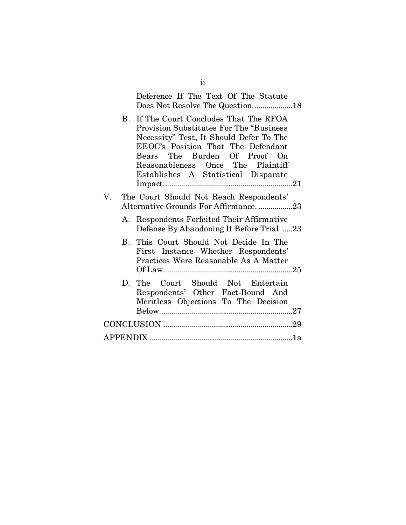| Deference If The Text Of The Statute<br>Does Not Resolve The Question18                                                                                                                                                                                                                 |
|-----------------------------------------------------------------------------------------------------------------------------------------------------------------------------------------------------------------------------------------------------------------------------------------|
| B. If The Court Concludes That The RFOA<br><b>Provision Substitutes For The "Business"</b><br>Necessity" Test, It Should Defer To The<br>EEOC's Position That The Defendant<br>Bears The Burden Of Proof On<br>Reasonableness Once The Plaintiff<br>Establishes A Statistical Disparate |
| The Court Should Not Reach Respondents'<br>V.<br>Alternative Grounds For Affirmance23                                                                                                                                                                                                   |
| A. Respondents Forfeited Their Affirmative<br>Defense By Abandoning It Before Trial23                                                                                                                                                                                                   |
| B. This Court Should Not Decide In The<br>First Instance Whether Respondents'<br>Practices Were Reasonable As A Matter                                                                                                                                                                  |
| D. The Court Should Not Entertain<br>Respondents' Other Fact-Bound And<br>Meritless Objections To The Decision                                                                                                                                                                          |
|                                                                                                                                                                                                                                                                                         |
|                                                                                                                                                                                                                                                                                         |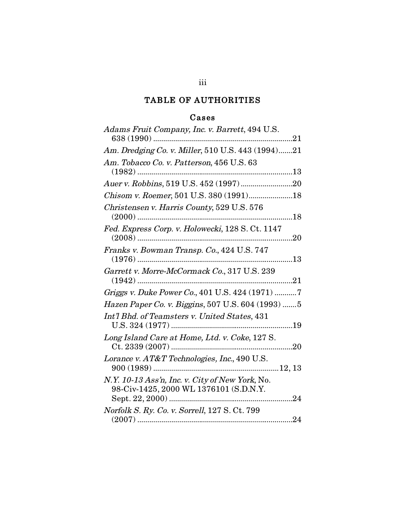# TABLE OF AUTHORITIES

# Cases

| Adams Fruit Company, Inc. v. Barrett, 494 U.S.                                            |
|-------------------------------------------------------------------------------------------|
| Am. Dredging Co. v. Miller, 510 U.S. 443 (1994)21                                         |
| Am. Tobacco Co. v. Patterson, 456 U.S. 63<br>$(1982)$<br>13                               |
|                                                                                           |
| Chisom v. Roemer, 501 U.S. 380 (1991)18                                                   |
| Christensen v. Harris County, 529 U.S. 576                                                |
| Fed. Express Corp. v. Holowecki, 128 S. Ct. 1147                                          |
| Franks v. Bowman Transp. Co., 424 U.S. 747                                                |
| Garrett v. Morre-McCormack Co., 317 U.S. 239<br>21                                        |
| Griggs v. Duke Power Co., 401 U.S. 424 (1971) 7                                           |
| Hazen Paper Co. v. Biggins, 507 U.S. 604 (1993) 5                                         |
| Int'l Bhd. of Teamsters v. United States, 431                                             |
| Long Island Care at Home, Ltd. v. Coke, 127 S.<br>20                                      |
| Lorance v. AT&T Technologies, Inc., 490 U.S.                                              |
| N.Y. 10-13 Ass'n, Inc. v. City of New York, No.<br>98-Civ-1425, 2000 WL 1376101 (S.D.N.Y. |
| <i>Norfolk S. Ry. Co. v. Sorrell, 127 S. Ct. 799</i>                                      |
|                                                                                           |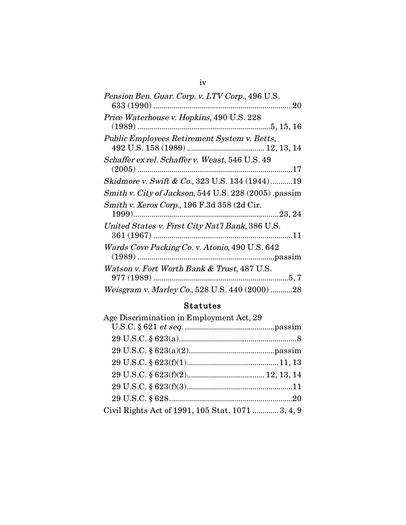| Pension Ben. Guar. Corp. v. LTV Corp., 496 U.S.      |
|------------------------------------------------------|
|                                                      |
| Price Waterhouse v. Hopkins, 490 U.S. 228            |
|                                                      |
| Public Employees Retirement System v. Betts,         |
|                                                      |
| Schaffer ex rel. Schaffer v. Weast, 546 U.S. 49      |
|                                                      |
| Skidmore v. Swift & Co., 323 U.S. 134 (1944)19       |
| Smith v. City of Jackson, 544 U.S. 228 (2005) passim |
| Smith v. Xerox Corp., 196 F.3d 358 (2d Cir.          |
|                                                      |
| United States v. First City Nat'l Bank, 386 U.S.     |
|                                                      |
| Wards Cove Packing Co. v. Atonio, 490 U.S. 642       |
|                                                      |
| Watson v. Fort Worth Bank & Trust, 487 U.S.          |
| .5, 7                                                |
| Weisgram v. Marley Co., 528 U.S. 440 (2000) 28       |

# Statutes

|                                                   | Age Discrimination in Employment Act, 29 |
|---------------------------------------------------|------------------------------------------|
|                                                   |                                          |
|                                                   |                                          |
|                                                   |                                          |
|                                                   |                                          |
|                                                   |                                          |
|                                                   |                                          |
|                                                   |                                          |
| Civil Rights Act of 1991, 105 Stat. 1071  3, 4, 9 |                                          |

# iv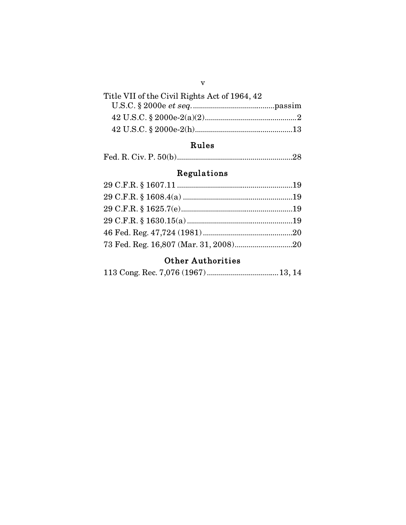| Title VII of the Civil Rights Act of 1964, 42 |
|-----------------------------------------------|
|                                               |
|                                               |
|                                               |

# Rules

|--|--|--|

# Regulations

# **Other Authorities**

|--|--|--|--|--|--|--|--|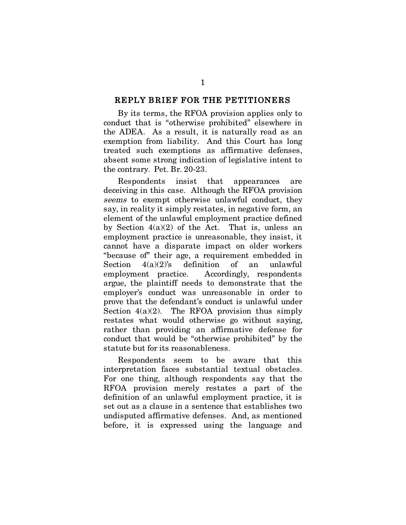#### REPLY BRIEF FOR THE PETITIONERS

By its terms, the RFOA provision applies only to conduct that is "otherwise prohibited" elsewhere in the ADEA. As a result, it is naturally read as an exemption from liability. And this Court has long treated such exemptions as affirmative defenses, absent some strong indication of legislative intent to the contrary. Pet. Br. 20-23.

Respondents insist that appearances are deceiving in this case. Although the RFOA provision seems to exempt otherwise unlawful conduct, they say, in reality it simply restates, in negative form, an element of the unlawful employment practice defined by Section  $4(a)(2)$  of the Act. That is, unless an employment practice is unreasonable, they insist, it cannot have a disparate impact on older workers "because of" their age, a requirement embedded in Section  $4(a)(2)$ 's definition of an unlawful employment practice. Accordingly, respondents argue, the plaintiff needs to demonstrate that the employer's conduct was unreasonable in order to prove that the defendant's conduct is unlawful under Section  $4(a)(2)$ . The RFOA provision thus simply restates what would otherwise go without saying, rather than providing an affirmative defense for conduct that would be "otherwise prohibited" by the statute but for its reasonableness.

Respondents seem to be aware that this interpretation faces substantial textual obstacles. For one thing, although respondents say that the RFOA provision merely restates a part of the definition of an unlawful employment practice, it is set out as a clause in a sentence that establishes two undisputed affirmative defenses. And, as mentioned before, it is expressed using the language and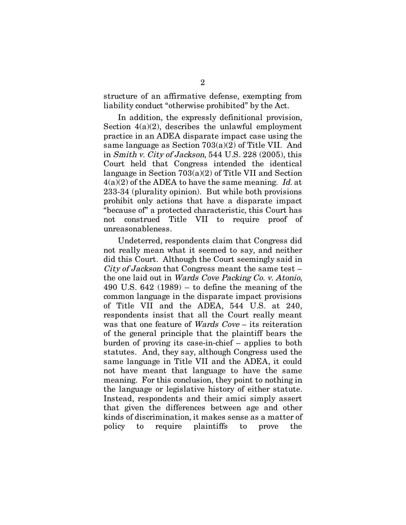structure of an affirmative defense, exempting from liability conduct "otherwise prohibited" by the Act.

In addition, the expressly definitional provision, Section  $4(a)(2)$ , describes the unlawful employment practice in an ADEA disparate impact case using the same language as Section 703(a)(2) of Title VII. And in Smith v. City of Jackson, 544 U.S. 228 (2005), this Court held that Congress intended the identical language in Section 703(a)(2) of Title VII and Section  $4(a)(2)$  of the ADEA to have the same meaning. Id. at 233-34 (plurality opinion). But while both provisions prohibit only actions that have a disparate impact "because of" a protected characteristic, this Court has not construed Title VII to require proof of unreasonableness.

Undeterred, respondents claim that Congress did not really mean what it seemed to say, and neither did this Court. Although the Court seemingly said in City of Jackson that Congress meant the same test – the one laid out in Wards Cove Packing Co. v. Atonio, 490 U.S. 642 (1989) – to define the meaning of the common language in the disparate impact provisions of Title VII and the ADEA, 544 U.S. at 240, respondents insist that all the Court really meant was that one feature of Wards Cove – its reiteration of the general principle that the plaintiff bears the burden of proving its case-in-chief – applies to both statutes. And, they say, although Congress used the same language in Title VII and the ADEA, it could not have meant that language to have the same meaning. For this conclusion, they point to nothing in the language or legislative history of either statute. Instead, respondents and their amici simply assert that given the differences between age and other kinds of discrimination, it makes sense as a matter of policy to require plaintiffs to prove the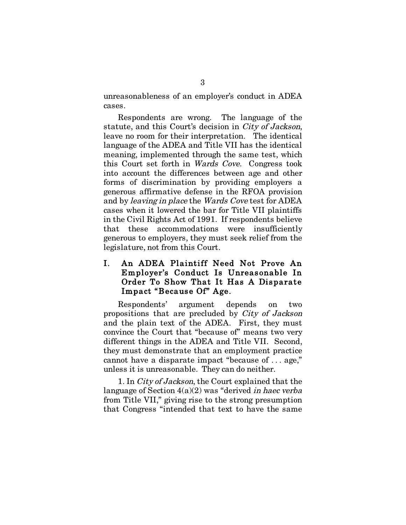unreasonableness of an employer's conduct in ADEA cases.

Respondents are wrong. The language of the statute, and this Court's decision in City of Jackson, leave no room for their interpretation. The identical language of the ADEA and Title VII has the identical meaning, implemented through the same test, which this Court set forth in Wards Cove. Congress took into account the differences between age and other forms of discrimination by providing employers a generous affirmative defense in the RFOA provision and by leaving in place the Wards Cove test for ADEA cases when it lowered the bar for Title VII plaintiffs in the Civil Rights Act of 1991. If respondents believe that these accommodations were insufficiently generous to employers, they must seek relief from the legislature, not from this Court.

## I. An ADEA Plaintiff Need Not Prove An Employer's Conduct Is Unreasonable In Order To Show That It Has A Disparate Impact "Because Of" Age.

Respondents' argument depends on two propositions that are precluded by City of Jackson and the plain text of the ADEA. First, they must convince the Court that "because of" means two very different things in the ADEA and Title VII. Second, they must demonstrate that an employment practice cannot have a disparate impact "because of . . . age," unless it is unreasonable. They can do neither.

1. In City of Jackson, the Court explained that the language of Section  $4(a)(2)$  was "derived in haec verba" from Title VII," giving rise to the strong presumption that Congress "intended that text to have the same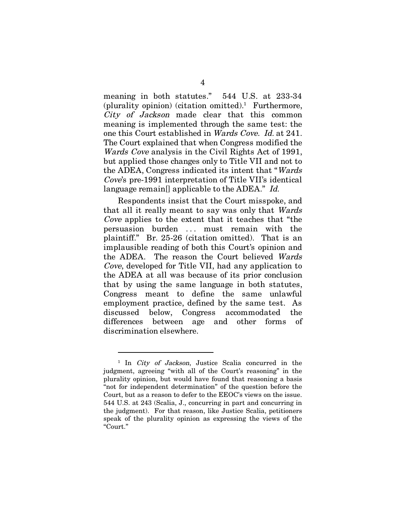meaning in both statutes." 544 U.S. at 233-34 (plurality opinion) (citation omitted).1 Furthermore, City of Jackson made clear that this common meaning is implemented through the same test: the one this Court established in Wards Cove. Id. at 241. The Court explained that when Congress modified the Wards Cove analysis in the Civil Rights Act of 1991, but applied those changes only to Title VII and not to the ADEA, Congress indicated its intent that "Wards Cove's pre-1991 interpretation of Title VII's identical language remain[] applicable to the ADEA." Id.

Respondents insist that the Court misspoke, and that all it really meant to say was only that Wards Cove applies to the extent that it teaches that "the persuasion burden ... must remain with the plaintiff." Br. 25-26 (citation omitted). That is an implausible reading of both this Court's opinion and the ADEA. The reason the Court believed Wards Cove, developed for Title VII, had any application to the ADEA at all was because of its prior conclusion that by using the same language in both statutes, Congress meant to define the same unlawful employment practice, defined by the same test. As discussed below, Congress accommodated the differences between age and other forms of discrimination elsewhere.

<sup>&</sup>lt;sup>1</sup> In *City of Jackson*, Justice Scalia concurred in the judgment, agreeing "with all of the Court's reasoning" in the plurality opinion, but would have found that reasoning a basis "not for independent determination" of the question before the Court, but as a reason to defer to the EEOC's views on the issue. 544 U.S. at 243 (Scalia, J., concurring in part and concurring in the judgment). For that reason, like Justice Scalia, petitioners speak of the plurality opinion as expressing the views of the "Court."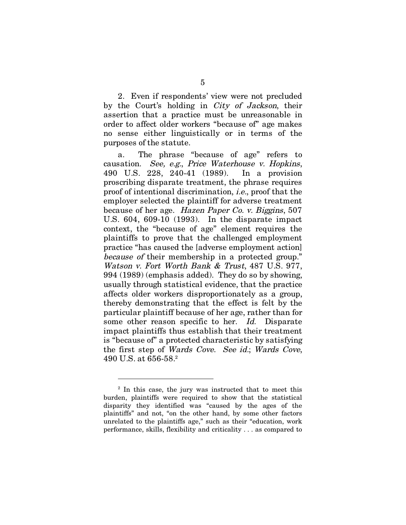2. Even if respondents' view were not precluded by the Court's holding in City of Jackson, their assertion that a practice must be unreasonable in order to affect older workers "because of" age makes no sense either linguistically or in terms of the purposes of the statute.

a. The phrase "because of age" refers to causation. See, e.g., Price Waterhouse v. Hopkins, 490 U.S. 228, 240-41 (1989). In a provision proscribing disparate treatment, the phrase requires proof of intentional discrimination, i.e., proof that the employer selected the plaintiff for adverse treatment because of her age. Hazen Paper Co. v. Biggins, 507 U.S. 604, 609-10 (1993). In the disparate impact context, the "because of age" element requires the plaintiffs to prove that the challenged employment practice "has caused the [adverse employment action] because of their membership in a protected group." Watson v. Fort Worth Bank & Trust, 487 U.S. 977, 994 (1989) (emphasis added). They do so by showing, usually through statistical evidence, that the practice affects older workers disproportionately as a group, thereby demonstrating that the effect is felt by the particular plaintiff because of her age, rather than for some other reason specific to her. Id. Disparate impact plaintiffs thus establish that their treatment is "because of" a protected characteristic by satisfying the first step of Wards Cove. See id.; Wards Cove,  $490 \, \mathrm{U.S. \, at \, 656\text{-}58.^2}$ 

 $\overline{a}$ 

<sup>2</sup> In this case, the jury was instructed that to meet this burden, plaintiffs were required to show that the statistical disparity they identified was "caused by the ages of the plaintiffs" and not, "on the other hand, by some other factors unrelated to the plaintiffs age," such as their "education, work performance, skills, flexibility and criticality . . . as compared to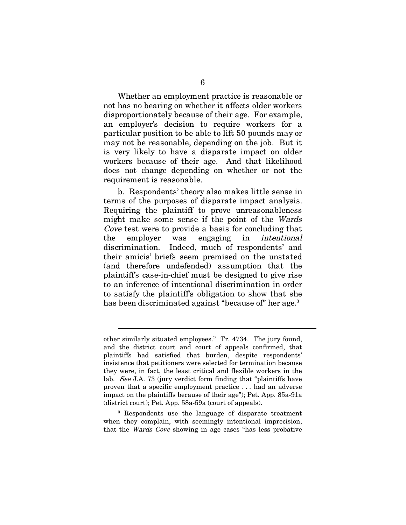Whether an employment practice is reasonable or not has no bearing on whether it affects older workers disproportionately because of their age. For example, an employer's decision to require workers for a particular position to be able to lift 50 pounds may or may not be reasonable, depending on the job. But it is very likely to have a disparate impact on older workers because of their age. And that likelihood does not change depending on whether or not the requirement is reasonable.

b. Respondents' theory also makes little sense in terms of the purposes of disparate impact analysis. Requiring the plaintiff to prove unreasonableness might make some sense if the point of the Wards Cove test were to provide a basis for concluding that the employer was engaging in intentional discrimination. Indeed, much of respondents' and their amicis' briefs seem premised on the unstated (and therefore undefended) assumption that the plaintiff's case-in-chief must be designed to give rise to an inference of intentional discrimination in order to satisfy the plaintiff's obligation to show that she has been discriminated against "because of" her age.<sup>3</sup>

3 Respondents use the language of disparate treatment when they complain, with seemingly intentional imprecision, that the Wards Cove showing in age cases "has less probative

other similarly situated employees." Tr. 4734. The jury found, and the district court and court of appeals confirmed, that plaintiffs had satisfied that burden, despite respondents' insistence that petitioners were selected for termination because they were, in fact, the least critical and flexible workers in the lab. See J.A. 73 (jury verdict form finding that "plaintiffs have proven that a specific employment practice . . . had an adverse impact on the plaintiffs because of their age"); Pet. App. 85a-91a (district court); Pet. App. 58a-59a (court of appeals).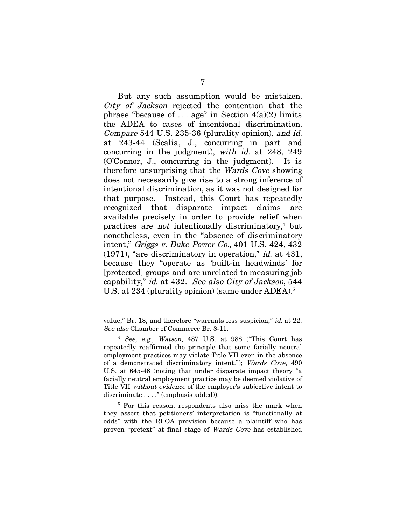But any such assumption would be mistaken. City of Jackson rejected the contention that the phrase "because of ... age" in Section  $4(a)(2)$  limits the ADEA to cases of intentional discrimination. Compare 544 U.S. 235-36 (plurality opinion), and id. at 243-44 (Scalia, J., concurring in part and concurring in the judgment), with id. at 248, 249 (O'Connor, J., concurring in the judgment). It is therefore unsurprising that the Wards Cove showing does not necessarily give rise to a strong inference of intentional discrimination, as it was not designed for that purpose. Instead, this Court has repeatedly recognized that disparate impact claims are available precisely in order to provide relief when practices are *not* intentionally discriminatory,<sup>4</sup> but nonetheless, even in the "absence of discriminatory intent," Griggs v. Duke Power Co., 401 U.S. 424, 432  $(1971)$ , "are discriminatory in operation," *id.* at 431, because they "operate as 'built-in headwinds' for [protected] groups and are unrelated to measuring job capability," id. at 432. See also City of Jackson, 544 U.S. at 234 (plurality opinion) (same under ADEA).<sup>5</sup>

5 For this reason, respondents also miss the mark when they assert that petitioners' interpretation is "functionally at odds" with the RFOA provision because a plaintiff who has proven "pretext" at final stage of Wards Cove has established

value," Br. 18, and therefore "warrants less suspicion," id. at 22. See also Chamber of Commerce Br. 8-11.

<sup>4</sup> See, e.g., Watson, 487 U.S. at 988 ("This Court has repeatedly reaffirmed the principle that some facially neutral employment practices may violate Title VII even in the absence of a demonstrated discriminatory intent."); Wards Cove, 490 U.S. at 645-46 (noting that under disparate impact theory "a facially neutral employment practice may be deemed violative of Title VII without evidence of the employer's subjective intent to discriminate . . . ." (emphasis added)).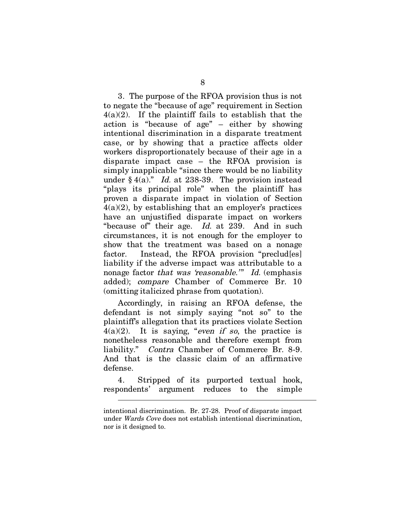3. The purpose of the RFOA provision thus is not to negate the "because of age" requirement in Section  $4(a)(2)$ . If the plaintiff fails to establish that the action is "because of age" – either by showing intentional discrimination in a disparate treatment case, or by showing that a practice affects older workers disproportionately because of their age in a disparate impact case – the RFOA provision is simply inapplicable "since there would be no liability under  $§$  4(a)." Id. at 238-39. The provision instead "plays its principal role" when the plaintiff has proven a disparate impact in violation of Section  $4(a)(2)$ , by establishing that an employer's practices have an unjustified disparate impact on workers "because of" their age. Id. at 239. And in such circumstances, it is not enough for the employer to show that the treatment was based on a nonage factor. Instead, the RFOA provision "preclud[es] liability if the adverse impact was attributable to a nonage factor that was 'reasonable.'" Id. (emphasis added); compare Chamber of Commerce Br. 10 (omitting italicized phrase from quotation).

Accordingly, in raising an RFOA defense, the defendant is not simply saying "not so" to the plaintiff's allegation that its practices violate Section  $4(a)(2)$ . It is saying, "even if so, the practice is nonetheless reasonable and therefore exempt from liability." Contra Chamber of Commerce Br. 8-9. And that is the classic claim of an affirmative defense.

4. Stripped of its purported textual hook, respondents' argument reduces to the simple

intentional discrimination. Br. 27-28. Proof of disparate impact under Wards Cove does not establish intentional discrimination, nor is it designed to.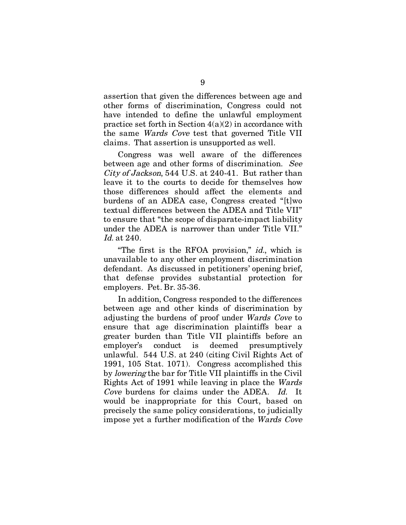assertion that given the differences between age and other forms of discrimination, Congress could not have intended to define the unlawful employment practice set forth in Section  $4(a)(2)$  in accordance with the same Wards Cove test that governed Title VII claims. That assertion is unsupported as well.

Congress was well aware of the differences between age and other forms of discrimination. See City of Jackson, 544 U.S. at 240-41. But rather than leave it to the courts to decide for themselves how those differences should affect the elements and burdens of an ADEA case, Congress created "[t]wo textual differences between the ADEA and Title VII" to ensure that "the scope of disparate-impact liability under the ADEA is narrower than under Title VII." Id. at 240.

"The first is the RFOA provision," id., which is unavailable to any other employment discrimination defendant. As discussed in petitioners' opening brief, that defense provides substantial protection for employers. Pet. Br. 35-36.

In addition, Congress responded to the differences between age and other kinds of discrimination by adjusting the burdens of proof under Wards Cove to ensure that age discrimination plaintiffs bear a greater burden than Title VII plaintiffs before an employer's conduct is deemed presumptively unlawful. 544 U.S. at 240 (citing Civil Rights Act of 1991, 105 Stat. 1071). Congress accomplished this by lowering the bar for Title VII plaintiffs in the Civil Rights Act of 1991 while leaving in place the Wards Cove burdens for claims under the ADEA. Id. would be inappropriate for this Court, based on precisely the same policy considerations, to judicially impose yet a further modification of the Wards Cove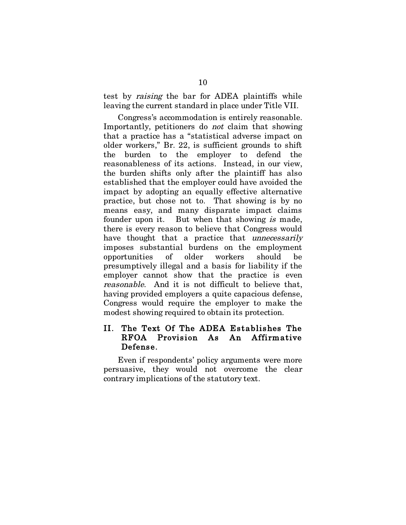test by raising the bar for ADEA plaintiffs while leaving the current standard in place under Title VII.

Congress's accommodation is entirely reasonable. Importantly, petitioners do not claim that showing that a practice has a "statistical adverse impact on older workers," Br. 22, is sufficient grounds to shift the burden to the employer to defend the reasonableness of its actions. Instead, in our view, the burden shifts only after the plaintiff has also established that the employer could have avoided the impact by adopting an equally effective alternative practice, but chose not to. That showing is by no means easy, and many disparate impact claims founder upon it. But when that showing is made, there is every reason to believe that Congress would have thought that a practice that unnecessarily imposes substantial burdens on the employment opportunities of older workers should be presumptively illegal and a basis for liability if the employer cannot show that the practice is even reasonable. And it is not difficult to believe that, having provided employers a quite capacious defense, Congress would require the employer to make the modest showing required to obtain its protection.

## II. The Text Of The ADEA Establishes The RFOA Provision As An Affirmative Defense.

Even if respondents' policy arguments were more persuasive, they would not overcome the clear contrary implications of the statutory text.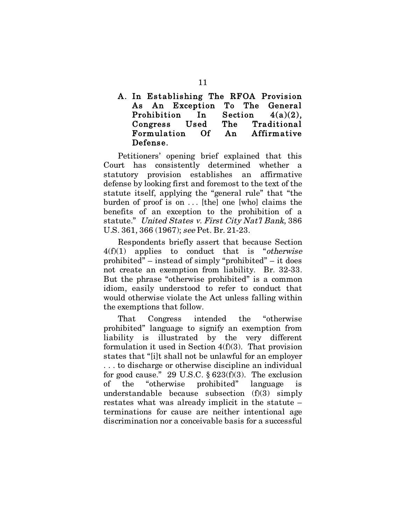## A. In Establishing The RFOA Provision As An Exception To The General Prohibition In Section 4(a)(2), Congress Used The Traditional Formulation Of An Affirmative Defense.

Petitioners' opening brief explained that this Court has consistently determined whether a statutory provision establishes an affirmative defense by looking first and foremost to the text of the statute itself, applying the "general rule" that "the burden of proof is on ... [the] one [who] claims the benefits of an exception to the prohibition of a statute." United States v. First City Nat'l Bank, 386 U.S. 361, 366 (1967); see Pet. Br. 21-23.

Respondents briefly assert that because Section  $4(f)(1)$  applies to conduct that is "*otherwise* prohibited" – instead of simply "prohibited" – it does not create an exemption from liability. Br. 32-33. But the phrase "otherwise prohibited" is a common idiom, easily understood to refer to conduct that would otherwise violate the Act unless falling within the exemptions that follow.

That Congress intended the "otherwise prohibited" language to signify an exemption from liability is illustrated by the very different formulation it used in Section 4(f)(3). That provision states that "[i]t shall not be unlawful for an employer . . . to discharge or otherwise discipline an individual for good cause." 29 U.S.C.  $\S 623(f)(3)$ . The exclusion of the "otherwise prohibited" language is understandable because subsection (f)(3) simply restates what was already implicit in the statute – terminations for cause are neither intentional age discrimination nor a conceivable basis for a successful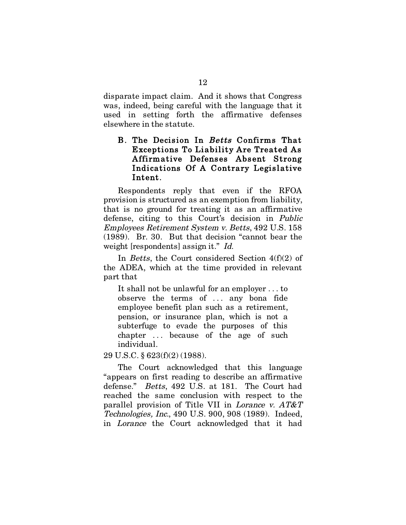disparate impact claim. And it shows that Congress was, indeed, being careful with the language that it used in setting forth the affirmative defenses elsewhere in the statute.

### B. The Decision In Betts Confirms That Exceptions To Liability Are Treated As Affirmative Defenses Absent Strong Indications Of A Contrary Legislative Intent.

Respondents reply that even if the RFOA provision is structured as an exemption from liability, that is no ground for treating it as an affirmative defense, citing to this Court's decision in Public Employees Retirement System v. Betts, 492 U.S. 158 (1989). Br. 30. But that decision "cannot bear the weight [respondents] assign it." Id.

In Betts, the Court considered Section 4(f)(2) of the ADEA, which at the time provided in relevant part that

It shall not be unlawful for an employer . . . to observe the terms of ... any bona fide employee benefit plan such as a retirement, pension, or insurance plan, which is not a subterfuge to evade the purposes of this chapter ... because of the age of such individual.

29 U.S.C. § 623(f)(2) (1988).

The Court acknowledged that this language "appears on first reading to describe an affirmative defense." Betts, 492 U.S. at 181. The Court had reached the same conclusion with respect to the parallel provision of Title VII in Lorance v. AT&T Technologies, Inc., 490 U.S. 900, 908 (1989). Indeed, in Lorance the Court acknowledged that it had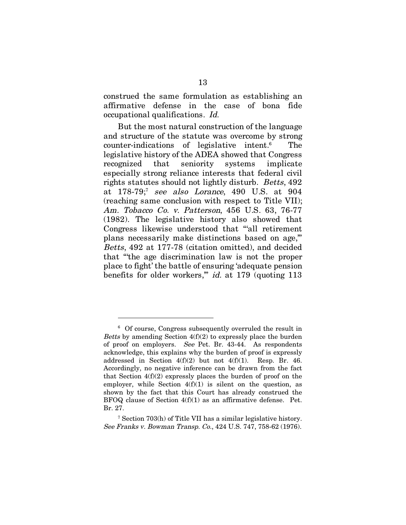construed the same formulation as establishing an affirmative defense in the case of bona fide occupational qualifications. Id.

But the most natural construction of the language and structure of the statute was overcome by strong counter-indications of legislative intent.6 The legislative history of the ADEA showed that Congress recognized that seniority systems implicate especially strong reliance interests that federal civil rights statutes should not lightly disturb. Betts, 492 at 178-79;<sup>7</sup> see also Lorance, 490 U.S. at 904 (reaching same conclusion with respect to Title VII); Am. Tobacco Co. v. Patterson, 456 U.S. 63, 76-77 (1982). The legislative history also showed that Congress likewise understood that "'all retirement plans necessarily make distinctions based on age,'" Betts, 492 at 177-78 (citation omitted), and decided that "'the age discrimination law is not the proper place to fight' the battle of ensuring 'adequate pension benefits for older workers,'" id. at 179 (quoting 113

<sup>6</sup> Of course, Congress subsequently overruled the result in *Betts* by amending Section  $4(f)(2)$  to expressly place the burden of proof on employers. See Pet. Br. 43-44. As respondents acknowledge, this explains why the burden of proof is expressly addressed in Section 4(f)(2) but not 4(f)(1). Resp. Br. 46. Accordingly, no negative inference can be drawn from the fact that Section  $4(f)(2)$  expressly places the burden of proof on the employer, while Section  $4(f)(1)$  is silent on the question, as shown by the fact that this Court has already construed the BFOQ clause of Section 4(f)(1) as an affirmative defense. Pet. Br. 27.

<sup>7</sup> Section 703(h) of Title VII has a similar legislative history. See Franks v. Bowman Transp. Co., 424 U.S. 747, 758-62 (1976).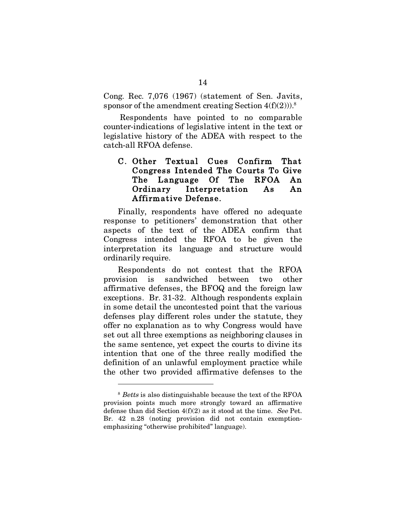Cong. Rec. 7,076 (1967) (statement of Sen. Javits, sponsor of the amendment creating Section  $4(f)(2))$ .<sup>8</sup>

 Respondents have pointed to no comparable counter-indications of legislative intent in the text or legislative history of the ADEA with respect to the catch-all RFOA defense.

## C. Other Textual Cues Confirm That Congress Intended The Courts To Give The Language Of The RFOA An Ordinary Interpretation As An Affirmative Defense.

Finally, respondents have offered no adequate response to petitioners' demonstration that other aspects of the text of the ADEA confirm that Congress intended the RFOA to be given the interpretation its language and structure would ordinarily require.

Respondents do not contest that the RFOA provision is sandwiched between two other affirmative defenses, the BFOQ and the foreign law exceptions. Br. 31-32. Although respondents explain in some detail the uncontested point that the various defenses play different roles under the statute, they offer no explanation as to why Congress would have set out all three exemptions as neighboring clauses in the same sentence, yet expect the courts to divine its intention that one of the three really modified the definition of an unlawful employment practice while the other two provided affirmative defenses to the

<sup>&</sup>lt;sup>8</sup> Betts is also distinguishable because the text of the RFOA provision points much more strongly toward an affirmative defense than did Section 4(f)(2) as it stood at the time. See Pet. Br. 42 n.28 (noting provision did not contain exemptionemphasizing "otherwise prohibited" language).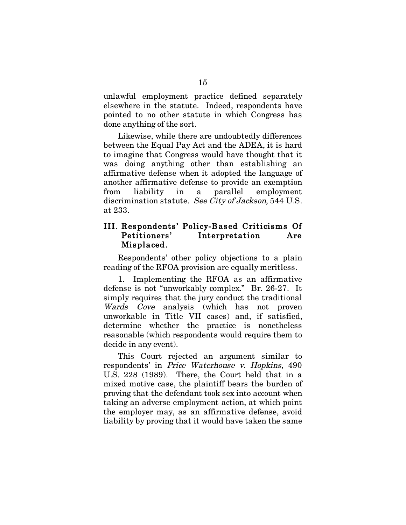unlawful employment practice defined separately elsewhere in the statute. Indeed, respondents have pointed to no other statute in which Congress has done anything of the sort.

Likewise, while there are undoubtedly differences between the Equal Pay Act and the ADEA, it is hard to imagine that Congress would have thought that it was doing anything other than establishing an affirmative defense when it adopted the language of another affirmative defense to provide an exemption from liability in a parallel employment discrimination statute. See City of Jackson, 544 U.S. at 233.

## III. Respondents' Policy-Based Criticisms Of Petitioners' Interpretation Are Misplaced.

Respondents' other policy objections to a plain reading of the RFOA provision are equally meritless.

1. Implementing the RFOA as an affirmative defense is not "unworkably complex." Br. 26-27. It simply requires that the jury conduct the traditional Wards Cove analysis (which has not proven unworkable in Title VII cases) and, if satisfied, determine whether the practice is nonetheless reasonable (which respondents would require them to decide in any event).

This Court rejected an argument similar to respondents' in Price Waterhouse v. Hopkins, 490 U.S. 228 (1989). There, the Court held that in a mixed motive case, the plaintiff bears the burden of proving that the defendant took sex into account when taking an adverse employment action, at which point the employer may, as an affirmative defense, avoid liability by proving that it would have taken the same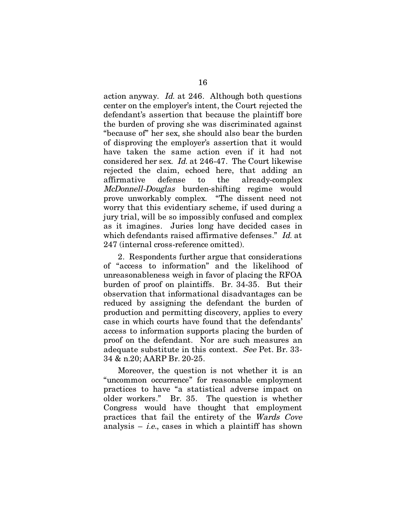action anyway. Id. at 246. Although both questions center on the employer's intent, the Court rejected the defendant's assertion that because the plaintiff bore the burden of proving she was discriminated against "because of" her sex, she should also bear the burden of disproving the employer's assertion that it would have taken the same action even if it had not considered her sex. Id. at 246-47. The Court likewise rejected the claim, echoed here, that adding an affirmative defense to the already-complex McDonnell-Douglas burden-shifting regime would prove unworkably complex. "The dissent need not worry that this evidentiary scheme, if used during a jury trial, will be so impossibly confused and complex as it imagines. Juries long have decided cases in which defendants raised affirmative defenses." Id. at 247 (internal cross-reference omitted).

2. Respondents further argue that considerations of "access to information" and the likelihood of unreasonableness weigh in favor of placing the RFOA burden of proof on plaintiffs. Br. 34-35. But their observation that informational disadvantages can be reduced by assigning the defendant the burden of production and permitting discovery, applies to every case in which courts have found that the defendants' access to information supports placing the burden of proof on the defendant. Nor are such measures an adequate substitute in this context. See Pet. Br. 33- 34 & n.20; AARP Br. 20-25.

Moreover, the question is not whether it is an "uncommon occurrence" for reasonable employment practices to have "a statistical adverse impact on older workers." Br. 35. The question is whether Congress would have thought that employment practices that fail the entirety of the Wards Cove analysis – *i.e.*, cases in which a plaintiff has shown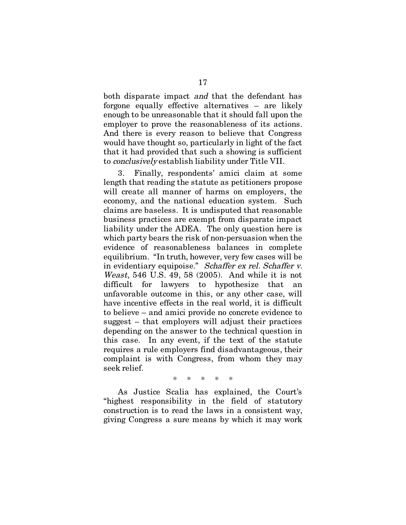both disparate impact and that the defendant has forgone equally effective alternatives – are likely enough to be unreasonable that it should fall upon the employer to prove the reasonableness of its actions. And there is every reason to believe that Congress would have thought so, particularly in light of the fact that it had provided that such a showing is sufficient to conclusively establish liability under Title VII.

3. Finally, respondents' amici claim at some length that reading the statute as petitioners propose will create all manner of harms on employers, the economy, and the national education system. Such claims are baseless. It is undisputed that reasonable business practices are exempt from disparate impact liability under the ADEA. The only question here is which party bears the risk of non-persuasion when the evidence of reasonableness balances in complete equilibrium. "In truth, however, very few cases will be in evidentiary equipoise." Schaffer ex rel. Schaffer v. Weast, 546 U.S. 49, 58 (2005). And while it is not difficult for lawyers to hypothesize that an unfavorable outcome in this, or any other case, will have incentive effects in the real world, it is difficult to believe – and amici provide no concrete evidence to suggest – that employers will adjust their practices depending on the answer to the technical question in this case. In any event, if the text of the statute requires a rule employers find disadvantageous, their complaint is with Congress, from whom they may seek relief.

\* \* \* \* \*

As Justice Scalia has explained, the Court's "highest responsibility in the field of statutory construction is to read the laws in a consistent way, giving Congress a sure means by which it may work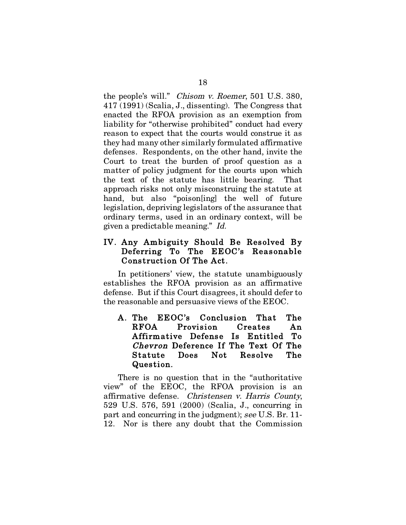the people's will." Chisom v. Roemer, 501 U.S. 380, 417 (1991) (Scalia, J., dissenting). The Congress that enacted the RFOA provision as an exemption from liability for "otherwise prohibited" conduct had every reason to expect that the courts would construe it as they had many other similarly formulated affirmative defenses. Respondents, on the other hand, invite the Court to treat the burden of proof question as a matter of policy judgment for the courts upon which the text of the statute has little bearing. That approach risks not only misconstruing the statute at hand, but also "poison[ing] the well of future legislation, depriving legislators of the assurance that ordinary terms, used in an ordinary context, will be given a predictable meaning." Id.

#### IV. Any Ambiguity Should Be Resolved By Deferring To The EEOC's Reasonable Construction Of The Act.

In petitioners' view, the statute unambiguously establishes the RFOA provision as an affirmative defense. But if this Court disagrees, it should defer to the reasonable and persuasive views of the EEOC.

A. The EEOC's Conclusion That The RFOA Provision Creates An Affirmative Defense Is Entitled To Chevron Deference If The Text Of The Statute Does Not Resolve The Question.

There is no question that in the "authoritative view" of the EEOC, the RFOA provision is an affirmative defense. Christensen v. Harris County, 529 U.S. 576, 591 (2000) (Scalia, J., concurring in part and concurring in the judgment); see U.S. Br. 11- 12. Nor is there any doubt that the Commission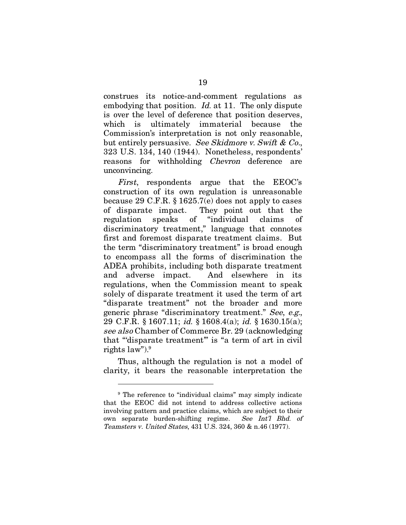construes its notice-and-comment regulations as embodying that position. *Id.* at 11. The only dispute is over the level of deference that position deserves, which is ultimately immaterial because the Commission's interpretation is not only reasonable, but entirely persuasive. See Skidmore v. Swift & Co., 323 U.S. 134, 140 (1944). Nonetheless, respondents' reasons for withholding Chevron deference are unconvincing.

First, respondents argue that the EEOC's construction of its own regulation is unreasonable because 29 C.F.R. § 1625.7(e) does not apply to cases of disparate impact. They point out that the regulation speaks of "individual claims of discriminatory treatment," language that connotes first and foremost disparate treatment claims. But the term "discriminatory treatment" is broad enough to encompass all the forms of discrimination the ADEA prohibits, including both disparate treatment and adverse impact. And elsewhere in its regulations, when the Commission meant to speak solely of disparate treatment it used the term of art "disparate treatment" not the broader and more generic phrase "discriminatory treatment." See, e.g., 29 C.F.R. § 1607.11; id. § 1608.4(a); id. § 1630.15(a); see also Chamber of Commerce Br. 29 (acknowledging that "'disparate treatment'" is "a term of art in civil rights law").9

Thus, although the regulation is not a model of clarity, it bears the reasonable interpretation the

<sup>&</sup>lt;sup>9</sup> The reference to "individual claims" may simply indicate that the EEOC did not intend to address collective actions involving pattern and practice claims, which are subject to their own separate burden-shifting regime. See Int'l Bhd. of Teamsters v. United States, 431 U.S. 324, 360 & n.46 (1977).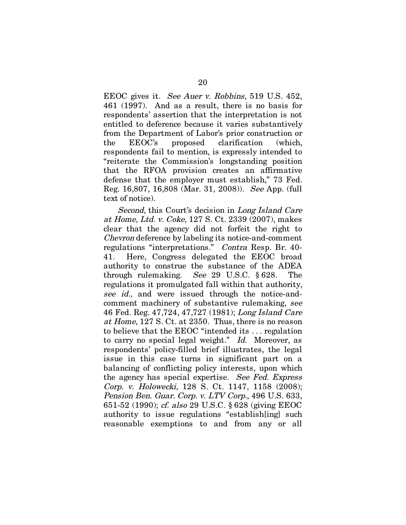EEOC gives it. See Auer v. Robbins, 519 U.S. 452, 461 (1997). And as a result, there is no basis for respondents' assertion that the interpretation is not entitled to deference because it varies substantively from the Department of Labor's prior construction or the EEOC's proposed clarification (which, respondents fail to mention, is expressly intended to "reiterate the Commission's longstanding position that the RFOA provision creates an affirmative defense that the employer must establish," 73 Fed. Reg. 16,807, 16,808 (Mar. 31, 2008)). See App. (full text of notice).

Second, this Court's decision in Long Island Care at Home, Ltd. v. Coke, 127 S. Ct. 2339 (2007), makes clear that the agency did not forfeit the right to Chevron deference by labeling its notice-and-comment regulations "interpretations." Contra Resp. Br. 40- 41. Here, Congress delegated the EEOC broad authority to construe the substance of the ADEA through rulemaking. See 29 U.S.C. § 628. The regulations it promulgated fall within that authority, see id., and were issued through the notice-andcomment machinery of substantive rulemaking, see 46 Fed. Reg. 47,724, 47,727 (1981); Long Island Care at Home, 127 S. Ct. at 2350. Thus, there is no reason to believe that the EEOC "intended its . . . regulation to carry no special legal weight." Id. Moreover, as respondents' policy-filled brief illustrates, the legal issue in this case turns in significant part on a balancing of conflicting policy interests, upon which the agency has special expertise. See Fed. Express Corp. v. Holowecki, 128 S. Ct. 1147, 1158 (2008); Pension Ben. Guar. Corp. v. LTV Corp., 496 U.S. 633, 651-52 (1990); cf. also 29 U.S.C. § 628 (giving EEOC authority to issue regulations "establish[ing] such reasonable exemptions to and from any or all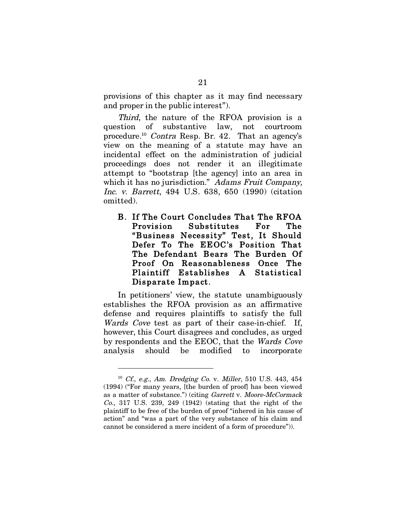provisions of this chapter as it may find necessary and proper in the public interest").

Third, the nature of the RFOA provision is a question of substantive law, not courtroom procedure.10 Contra Resp. Br. 42. That an agency's view on the meaning of a statute may have an incidental effect on the administration of judicial proceedings does not render it an illegitimate attempt to "bootstrap [the agency] into an area in which it has no jurisdiction." Adams Fruit Company, Inc. v. Barrett, 494 U.S. 638, 650 (1990) (citation omitted).

B. If The Court Concludes That The RFOA Provision Substitutes For The "Business Necessity" Test, It Should Defer To The EEOC's Position That The Defendant Bears The Burden Of Proof On Reasonableness Once The Plaintiff Establishes A Statistical Disparate Impact.

In petitioners' view, the statute unambiguously establishes the RFOA provision as an affirmative defense and requires plaintiffs to satisfy the full Wards Cove test as part of their case-in-chief. If, however, this Court disagrees and concludes, as urged by respondents and the EEOC, that the Wards Cove analysis should be modified to incorporate

<sup>10</sup> Cf., e.g., Am. Dredging Co. v. Miller, 510 U.S. 443, 454 (1994) ("For many years, [the burden of proof] has been viewed as a matter of substance.") (citing Garrett v. Moore-McCormack Co., 317 U.S. 239, 249 (1942) (stating that the right of the plaintiff to be free of the burden of proof "inhered in his cause of action" and "was a part of the very substance of his claim and cannot be considered a mere incident of a form of procedure")).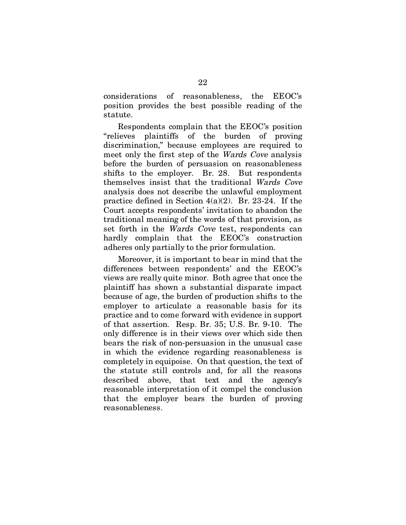considerations of reasonableness, the EEOC's position provides the best possible reading of the statute.

Respondents complain that the EEOC's position "relieves plaintiffs of the burden of proving discrimination," because employees are required to meet only the first step of the Wards Cove analysis before the burden of persuasion on reasonableness shifts to the employer. Br. 28. But respondents themselves insist that the traditional Wards Cove analysis does not describe the unlawful employment practice defined in Section 4(a)(2). Br. 23-24. If the Court accepts respondents' invitation to abandon the traditional meaning of the words of that provision, as set forth in the Wards Cove test, respondents can hardly complain that the EEOC's construction adheres only partially to the prior formulation.

Moreover, it is important to bear in mind that the differences between respondents' and the EEOC's views are really quite minor. Both agree that once the plaintiff has shown a substantial disparate impact because of age, the burden of production shifts to the employer to articulate a reasonable basis for its practice and to come forward with evidence in support of that assertion. Resp. Br. 35; U.S. Br. 9-10. The only difference is in their views over which side then bears the risk of non-persuasion in the unusual case in which the evidence regarding reasonableness is completely in equipoise. On that question, the text of the statute still controls and, for all the reasons described above, that text and the agency's reasonable interpretation of it compel the conclusion that the employer bears the burden of proving reasonableness.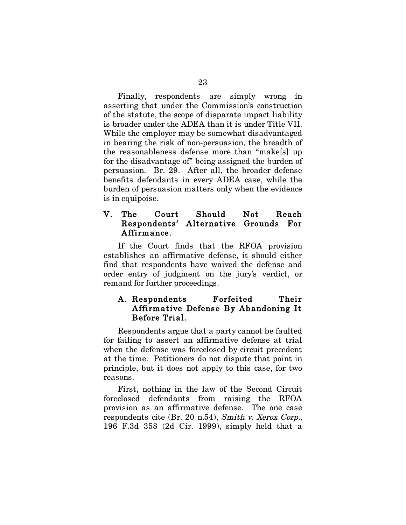Finally, respondents are simply wrong in asserting that under the Commission's construction of the statute, the scope of disparate impact liability is broader under the ADEA than it is under Title VII. While the employer may be somewhat disadvantaged in bearing the risk of non-persuasion, the breadth of the reasonableness defense more than "make[s] up for the disadvantage of" being assigned the burden of persuasion. Br. 29. After all, the broader defense benefits defendants in every ADEA case, while the burden of persuasion matters only when the evidence is in equipoise.

## V. The Court Should Not Reach Respondents' Alternative Grounds For Affirmance.

If the Court finds that the RFOA provision establishes an affirmative defense, it should either find that respondents have waived the defense and order entry of judgment on the jury's verdict, or remand for further proceedings.

### A. Respondents Forfeited Their Affirmative Defense By Abandoning It Before Trial.

Respondents argue that a party cannot be faulted for failing to assert an affirmative defense at trial when the defense was foreclosed by circuit precedent at the time. Petitioners do not dispute that point in principle, but it does not apply to this case, for two reasons.

First, nothing in the law of the Second Circuit foreclosed defendants from raising the RFOA provision as an affirmative defense. The one case respondents cite (Br. 20 n.54), Smith v. Xerox Corp., 196 F.3d 358 (2d Cir. 1999), simply held that a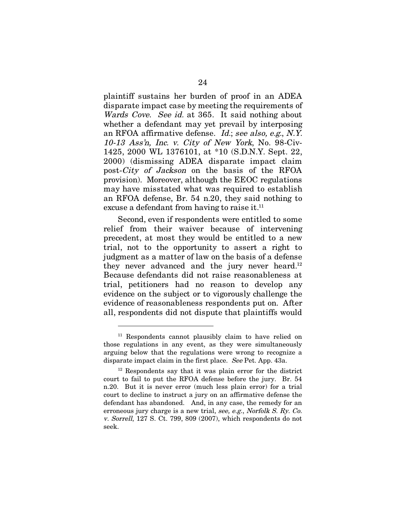plaintiff sustains her burden of proof in an ADEA disparate impact case by meeting the requirements of Wards Cove. See id. at 365. It said nothing about whether a defendant may yet prevail by interposing an RFOA affirmative defense. Id.; see also, e.g., N.Y. 10-13 Ass'n, Inc. v. City of New York, No. 98-Civ-1425, 2000 WL 1376101, at \*10 (S.D.N.Y. Sept. 22, 2000) (dismissing ADEA disparate impact claim post-City of Jackson on the basis of the RFOA provision). Moreover, although the EEOC regulations may have misstated what was required to establish an RFOA defense, Br. 54 n.20, they said nothing to excuse a defendant from having to raise it.<sup>11</sup>

Second, even if respondents were entitled to some relief from their waiver because of intervening precedent, at most they would be entitled to a new trial, not to the opportunity to assert a right to judgment as a matter of law on the basis of a defense they never advanced and the jury never heard.<sup>12</sup> Because defendants did not raise reasonableness at trial, petitioners had no reason to develop any evidence on the subject or to vigorously challenge the evidence of reasonableness respondents put on. After all, respondents did not dispute that plaintiffs would

<sup>11</sup> Respondents cannot plausibly claim to have relied on those regulations in any event, as they were simultaneously arguing below that the regulations were wrong to recognize a disparate impact claim in the first place. See Pet. App. 43a.

<sup>12</sup> Respondents say that it was plain error for the district court to fail to put the RFOA defense before the jury. Br. 54 n.20. But it is never error (much less plain error) for a trial court to decline to instruct a jury on an affirmative defense the defendant has abandoned. And, in any case, the remedy for an erroneous jury charge is a new trial, see, e.g., Norfolk S. Ry. Co. v. Sorrell, 127 S. Ct. 799, 809 (2007), which respondents do not seek.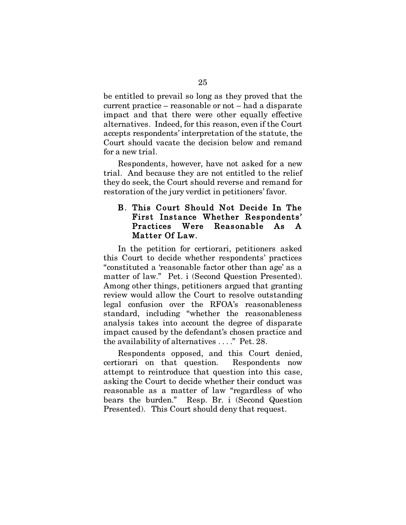be entitled to prevail so long as they proved that the current practice – reasonable or not – had a disparate impact and that there were other equally effective alternatives. Indeed, for this reason, even if the Court accepts respondents' interpretation of the statute, the Court should vacate the decision below and remand for a new trial.

Respondents, however, have not asked for a new trial. And because they are not entitled to the relief they do seek, the Court should reverse and remand for restoration of the jury verdict in petitioners' favor.

#### B. This Court Should Not Decide In The First Instance Whether Respondents' Practices Were Reasonable As A Matter Of Law.

In the petition for certiorari, petitioners asked this Court to decide whether respondents' practices "constituted a 'reasonable factor other than age' as a matter of law." Pet. i (Second Question Presented). Among other things, petitioners argued that granting review would allow the Court to resolve outstanding legal confusion over the RFOA's reasonableness standard, including "whether the reasonableness analysis takes into account the degree of disparate impact caused by the defendant's chosen practice and the availability of alternatives . . . ." Pet. 28.

Respondents opposed, and this Court denied, certiorari on that question. Respondents now attempt to reintroduce that question into this case, asking the Court to decide whether their conduct was reasonable as a matter of law "regardless of who bears the burden." Resp. Br. i (Second Question Presented). This Court should deny that request.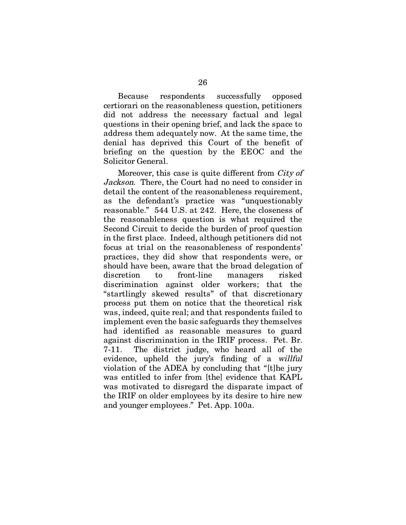Because respondents successfully opposed certiorari on the reasonableness question, petitioners did not address the necessary factual and legal questions in their opening brief, and lack the space to address them adequately now. At the same time, the denial has deprived this Court of the benefit of briefing on the question by the EEOC and the Solicitor General.

Moreover, this case is quite different from *City of* Jackson. There, the Court had no need to consider in detail the content of the reasonableness requirement, as the defendant's practice was "unquestionably reasonable." 544 U.S. at 242. Here, the closeness of the reasonableness question is what required the Second Circuit to decide the burden of proof question in the first place. Indeed, although petitioners did not focus at trial on the reasonableness of respondents' practices, they did show that respondents were, or should have been, aware that the broad delegation of discretion to front-line managers risked discrimination against older workers; that the "startlingly skewed results" of that discretionary process put them on notice that the theoretical risk was, indeed, quite real; and that respondents failed to implement even the basic safeguards they themselves had identified as reasonable measures to guard against discrimination in the IRIF process. Pet. Br. 7-11. The district judge, who heard all of the evidence, upheld the jury's finding of a willful violation of the ADEA by concluding that "[t]he jury was entitled to infer from [the] evidence that KAPL was motivated to disregard the disparate impact of the IRIF on older employees by its desire to hire new and younger employees." Pet. App. 100a.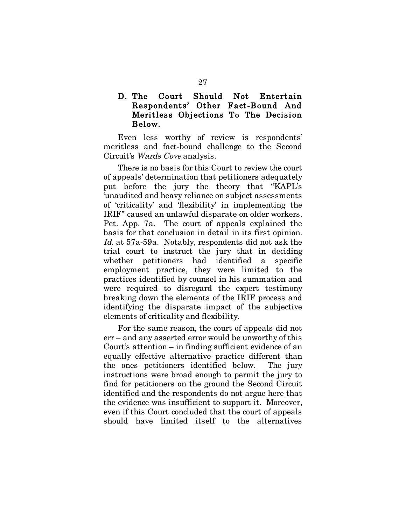## D. The Court Should Not Entertain Respondents' Other Fact-Bound And Meritless Objections To The Decision Below.

Even less worthy of review is respondents' meritless and fact-bound challenge to the Second Circuit's Wards Cove analysis.

There is no basis for this Court to review the court of appeals' determination that petitioners adequately put before the jury the theory that "KAPL's 'unaudited and heavy reliance on subject assessments of 'criticality' and 'flexibility' in implementing the IRIF" caused an unlawful disparate on older workers. Pet. App. 7a. The court of appeals explained the basis for that conclusion in detail in its first opinion. Id. at 57a-59a. Notably, respondents did not ask the trial court to instruct the jury that in deciding whether petitioners had identified a specific employment practice, they were limited to the practices identified by counsel in his summation and were required to disregard the expert testimony breaking down the elements of the IRIF process and identifying the disparate impact of the subjective elements of criticality and flexibility.

For the same reason, the court of appeals did not err – and any asserted error would be unworthy of this Court's attention – in finding sufficient evidence of an equally effective alternative practice different than the ones petitioners identified below. The jury instructions were broad enough to permit the jury to find for petitioners on the ground the Second Circuit identified and the respondents do not argue here that the evidence was insufficient to support it. Moreover, even if this Court concluded that the court of appeals should have limited itself to the alternatives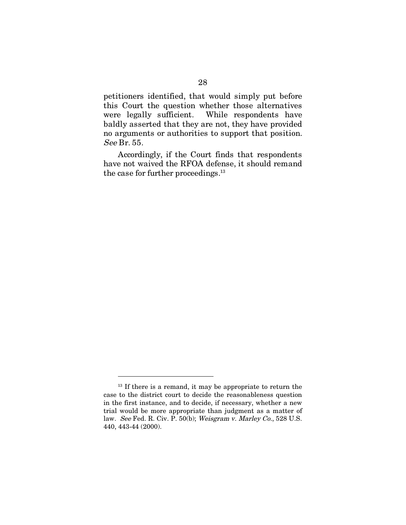petitioners identified, that would simply put before this Court the question whether those alternatives were legally sufficient. While respondents have baldly asserted that they are not, they have provided no arguments or authorities to support that position. See Br. 55.

Accordingly, if the Court finds that respondents have not waived the RFOA defense, it should remand the case for further proceedings.13

 $13$  If there is a remand, it may be appropriate to return the case to the district court to decide the reasonableness question in the first instance, and to decide, if necessary, whether a new trial would be more appropriate than judgment as a matter of law. See Fed. R. Civ. P. 50(b); Weisgram v. Marley Co., 528 U.S. 440, 443-44 (2000).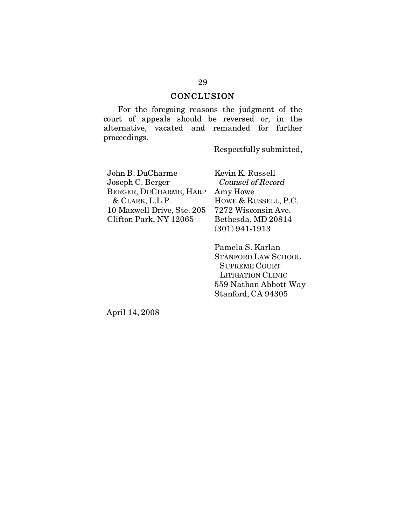## **CONCLUSION**

For the foregoing reasons the judgment of the court of appeals should be reversed or, in the alternative, vacated and remanded for further proceedings.

Respectfully submitted,

John B. DuCharme Joseph C. Berger BERGER, DUCHARME, HARP & CLARK, L.L.P. 10 Maxwell Drive, Ste. 205 Clifton Park, NY 12065

Kevin K. Russell Counsel of Record Amy Howe HOWE & RUSSELL, P.C. 7272 Wisconsin Ave. Bethesda, MD 20814 (301) 941-1913

Pamela S. Karlan STANFORD LAW SCHOOL SUPREME COURT LITIGATION CLINIC 559 Nathan Abbott Way Stanford, CA 94305

April 14, 2008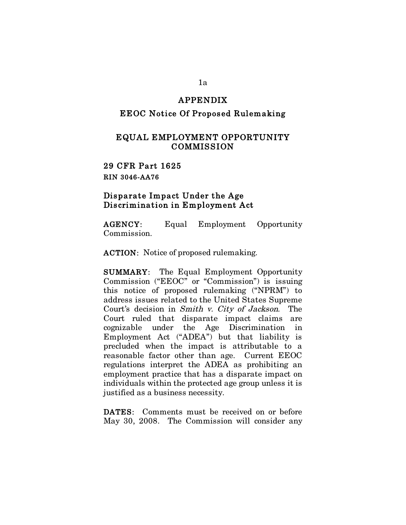#### APPENDIX

#### EEOC Notice Of Proposed Rulemaking

#### EQUAL EMPLOYMENT OPPORTUNITY COMMISSION

29 CFR Part 1625 RIN 3046-AA76

#### Disparate Impact Under the Age Discrimination in Employment Act

AGENCY: Equal Employment Opportunity Commission.

ACTION: Notice of proposed rulemaking.

SUMMARY: The Equal Employment Opportunity Commission ("EEOC" or "Commission") is issuing this notice of proposed rulemaking ("NPRM") to address issues related to the United States Supreme Court's decision in Smith v. City of Jackson. The Court ruled that disparate impact claims are cognizable under the Age Discrimination in Employment Act ("ADEA") but that liability is precluded when the impact is attributable to a reasonable factor other than age. Current EEOC regulations interpret the ADEA as prohibiting an employment practice that has a disparate impact on individuals within the protected age group unless it is justified as a business necessity.

DATES: Comments must be received on or before May 30, 2008. The Commission will consider any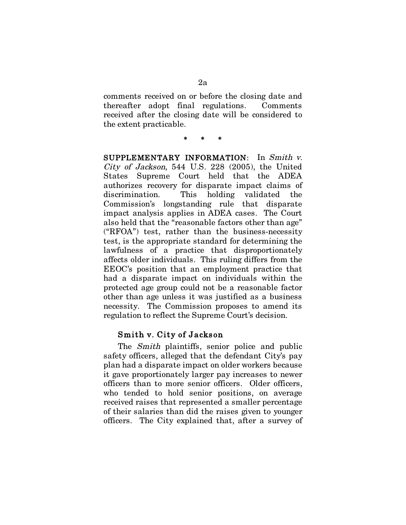comments received on or before the closing date and thereafter adopt final regulations. Comments received after the closing date will be considered to the extent practicable.

#### \* \* \*

SUPPLEMENTARY INFORMATION: In Smith v. City of Jackson, 544 U.S. 228 (2005), the United States Supreme Court held that the ADEA authorizes recovery for disparate impact claims of discrimination. This holding validated the Commission's longstanding rule that disparate impact analysis applies in ADEA cases. The Court also held that the "reasonable factors other than age" ("RFOA") test, rather than the business-necessity test, is the appropriate standard for determining the lawfulness of a practice that disproportionately affects older individuals. This ruling differs from the EEOC's position that an employment practice that had a disparate impact on individuals within the protected age group could not be a reasonable factor other than age unless it was justified as a business necessity. The Commission proposes to amend its regulation to reflect the Supreme Court's decision.

#### Smith v. City of Jackson

The *Smith* plaintiffs, senior police and public safety officers, alleged that the defendant City's pay plan had a disparate impact on older workers because it gave proportionately larger pay increases to newer officers than to more senior officers. Older officers, who tended to hold senior positions, on average received raises that represented a smaller percentage of their salaries than did the raises given to younger officers. The City explained that, after a survey of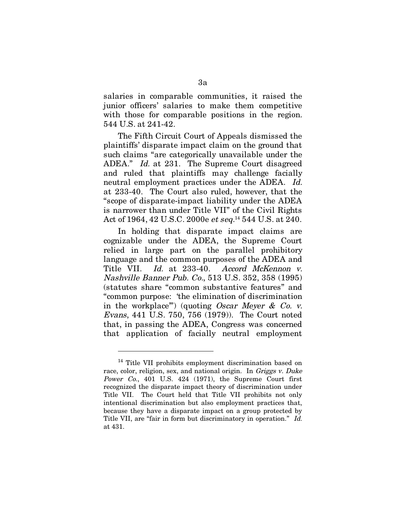salaries in comparable communities, it raised the junior officers' salaries to make them competitive with those for comparable positions in the region. 544 U.S. at 241-42.

The Fifth Circuit Court of Appeals dismissed the plaintiffs' disparate impact claim on the ground that such claims "are categorically unavailable under the ADEA." Id. at 231. The Supreme Court disagreed and ruled that plaintiffs may challenge facially neutral employment practices under the ADEA. Id. at 233-40. The Court also ruled, however, that the "scope of disparate-impact liability under the ADEA is narrower than under Title VII" of the Civil Rights Act of 1964, 42 U.S.C. 2000e et seq. 14 544 U.S. at 240.

In holding that disparate impact claims are cognizable under the ADEA, the Supreme Court relied in large part on the parallel prohibitory language and the common purposes of the ADEA and Title VII. Id. at 233-40. Accord McKennon v. Nashville Banner Pub. Co., 513 U.S. 352, 358 (1995) (statutes share "common substantive features" and "common purpose: 'the elimination of discrimination in the workplace") (quoting Oscar Meyer & Co. v. Evans, 441 U.S. 750, 756 (1979)). The Court noted that, in passing the ADEA, Congress was concerned that application of facially neutral employment

 $\overline{a}$ 

<sup>&</sup>lt;sup>14</sup> Title VII prohibits employment discrimination based on race, color, religion, sex, and national origin. In Griggs v. Duke Power Co., 401 U.S. 424 (1971), the Supreme Court first recognized the disparate impact theory of discrimination under Title VII. The Court held that Title VII prohibits not only intentional discrimination but also employment practices that, because they have a disparate impact on a group protected by Title VII, are "fair in form but discriminatory in operation." Id. at 431.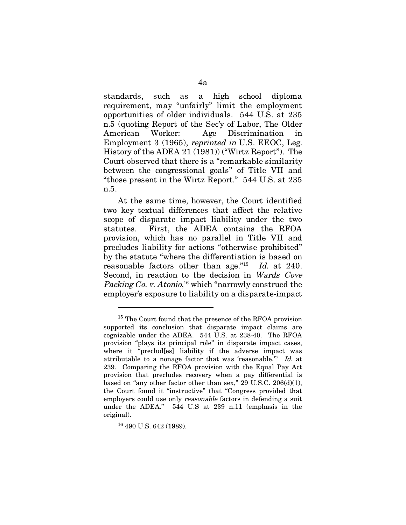standards, such as a high school diploma requirement, may "unfairly" limit the employment opportunities of older individuals. 544 U.S. at 235 n.5 (quoting Report of the Sec'y of Labor, The Older American Worker: Age Discrimination in Employment 3 (1965), reprinted in U.S. EEOC, Leg. History of the ADEA 21 (1981)) ("Wirtz Report"). The Court observed that there is a "remarkable similarity between the congressional goals" of Title VII and "those present in the Wirtz Report." 544 U.S. at 235 n.5.

At the same time, however, the Court identified two key textual differences that affect the relative scope of disparate impact liability under the two statutes. First, the ADEA contains the RFOA provision, which has no parallel in Title VII and precludes liability for actions "otherwise prohibited" by the statute "where the differentiation is based on reasonable factors other than age."<sup>15</sup> Id. at 240. Second, in reaction to the decision in Wards Cove Packing Co. v. Atonio,<sup>16</sup> which "narrowly construed the employer's exposure to liability on a disparate-impact

16 490 U.S. 642 (1989).

 $\overline{a}$ 

<sup>&</sup>lt;sup>15</sup> The Court found that the presence of the RFOA provision supported its conclusion that disparate impact claims are cognizable under the ADEA. 544 U.S. at 238-40. The RFOA provision "plays its principal role" in disparate impact cases, where it "preclud[es] liability if the adverse impact was attributable to a nonage factor that was 'reasonable.'" Id. at 239. Comparing the RFOA provision with the Equal Pay Act provision that precludes recovery when a pay differential is based on "any other factor other than sex," 29 U.S.C.  $206(d)(1)$ , the Court found it "instructive" that "Congress provided that employers could use only reasonable factors in defending a suit under the ADEA." 544 U.S at 239 n.11 (emphasis in the original).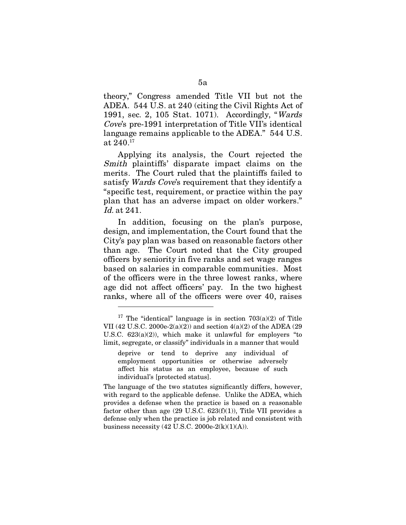theory," Congress amended Title VII but not the ADEA. 544 U.S. at 240 (citing the Civil Rights Act of 1991, sec. 2, 105 Stat. 1071). Accordingly, "Wards Cove's pre-1991 interpretation of Title VII's identical language remains applicable to the ADEA." 544 U.S. at 240.17

Applying its analysis, the Court rejected the Smith plaintiffs' disparate impact claims on the merits. The Court ruled that the plaintiffs failed to satisfy Wards Cove's requirement that they identify a "specific test, requirement, or practice within the pay plan that has an adverse impact on older workers." Id. at 241.

In addition, focusing on the plan's purpose, design, and implementation, the Court found that the City's pay plan was based on reasonable factors other than age. The Court noted that the City grouped officers by seniority in five ranks and set wage ranges based on salaries in comparable communities. Most of the officers were in the three lowest ranks, where age did not affect officers' pay. In the two highest ranks, where all of the officers were over 40, raises

<sup>&</sup>lt;sup>17</sup> The "identical" language is in section  $703(a)(2)$  of Title VII (42 U.S.C. 2000e-2(a)(2)) and section 4(a)(2) of the ADEA (29 U.S.C. 623(a)(2)), which make it unlawful for employers "to limit, segregate, or classify" individuals in a manner that would

deprive or tend to deprive any individual of employment opportunities or otherwise adversely affect his status as an employee, because of such individual's [protected status].

The language of the two statutes significantly differs, however, with regard to the applicable defense. Unlike the ADEA, which provides a defense when the practice is based on a reasonable factor other than age  $(29 \text{ U.S.C. } 623(f)(1))$ , Title VII provides a defense only when the practice is job related and consistent with business necessity  $(42 \text{ U.S.C. } 2000 \text{e-}2(\text{k})(1)(\text{A})).$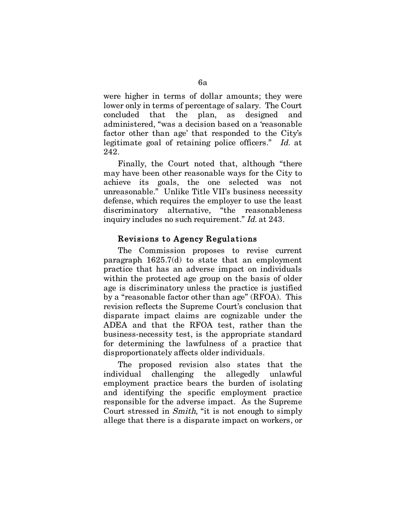were higher in terms of dollar amounts; they were lower only in terms of percentage of salary. The Court concluded that the plan, as designed and administered, "was a decision based on a 'reasonable factor other than age' that responded to the City's legitimate goal of retaining police officers." Id. at 242.

Finally, the Court noted that, although "there may have been other reasonable ways for the City to achieve its goals, the one selected was not unreasonable." Unlike Title VII's business necessity defense, which requires the employer to use the least discriminatory alternative, "the reasonableness inquiry includes no such requirement." Id. at 243.

## Revisions to Agency Regulations

The Commission proposes to revise current paragraph 1625.7(d) to state that an employment practice that has an adverse impact on individuals within the protected age group on the basis of older age is discriminatory unless the practice is justified by a "reasonable factor other than age" (RFOA). This revision reflects the Supreme Court's conclusion that disparate impact claims are cognizable under the ADEA and that the RFOA test, rather than the business-necessity test, is the appropriate standard for determining the lawfulness of a practice that disproportionately affects older individuals.

The proposed revision also states that the individual challenging the allegedly unlawful employment practice bears the burden of isolating and identifying the specific employment practice responsible for the adverse impact. As the Supreme Court stressed in Smith, "it is not enough to simply allege that there is a disparate impact on workers, or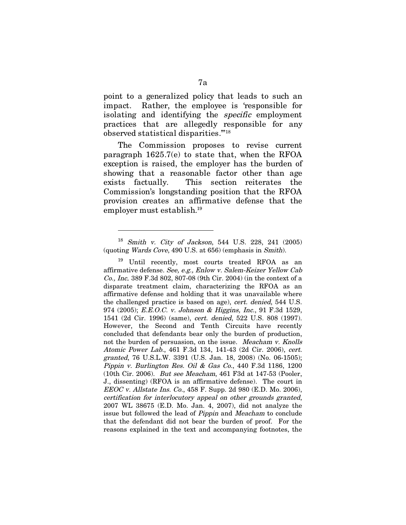point to a generalized policy that leads to such an impact. Rather, the employee is 'responsible for isolating and identifying the specific employment practices that are allegedly responsible for any observed statistical disparities.'"18

The Commission proposes to revise current paragraph 1625.7(e) to state that, when the RFOA exception is raised, the employer has the burden of showing that a reasonable factor other than age exists factually. This section reiterates the Commission's longstanding position that the RFOA provision creates an affirmative defense that the employer must establish.19

<sup>18</sup> Smith v. City of Jackson, 544 U.S. 228, 241 (2005) (quoting Wards Cove, 490 U.S. at 656) (emphasis in Smith).

<sup>19</sup> Until recently, most courts treated RFOA as an affirmative defense. See, e.g., Enlow v. Salem-Keizer Yellow Cab Co., Inc. 389 F.3d 802, 807-08 (9th Cir. 2004) (in the context of a disparate treatment claim, characterizing the RFOA as an affirmative defense and holding that it was unavailable where the challenged practice is based on age), cert. denied, 544 U.S. 974 (2005); E.E.O.C. v. Johnson & Higgins, Inc., 91 F.3d 1529, 1541 (2d Cir. 1996) (same), cert. denied, 522 U.S. 808 (1997). However, the Second and Tenth Circuits have recently concluded that defendants bear only the burden of production, not the burden of persuasion, on the issue. Meacham v. Knolls Atomic Power Lab., 461 F.3d 134, 141-43 (2d Cir. 2006), cert. granted, 76 U.S.L.W. 3391 (U.S. Jan. 18, 2008) (No. 06-1505); Pippin v. Burlington Res. Oil & Gas Co., 440 F.3d 1186, 1200 (10th Cir. 2006). But see Meacham, 461 F3d at 147-53 (Pooler, J., dissenting) (RFOA is an affirmative defense). The court in EEOC v. Allstate Ins. Co., 458 F. Supp. 2d 980 (E.D. Mo. 2006), certification for interlocutory appeal on other grounds granted, 2007 WL 38675 (E.D. Mo. Jan. 4, 2007), did not analyze the issue but followed the lead of Pippin and Meacham to conclude that the defendant did not bear the burden of proof. For the reasons explained in the text and accompanying footnotes, the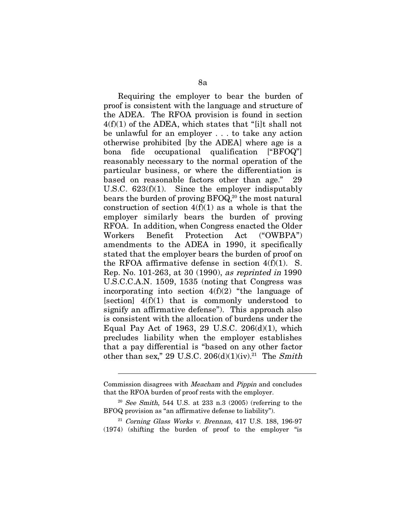Requiring the employer to bear the burden of proof is consistent with the language and structure of the ADEA. The RFOA provision is found in section  $4(f)(1)$  of the ADEA, which states that "[i]t shall not be unlawful for an employer . . . to take any action otherwise prohibited [by the ADEA] where age is a bona fide occupational qualification ["BFOQ"] reasonably necessary to the normal operation of the particular business, or where the differentiation is based on reasonable factors other than age." 29 U.S.C. 623(f)(1). Since the employer indisputably bears the burden of proving  $BFOQ<sub>i</sub><sup>20</sup>$  the most natural construction of section  $4(f)(1)$  as a whole is that the employer similarly bears the burden of proving RFOA. In addition, when Congress enacted the Older Workers Benefit Protection Act ("OWBPA") amendments to the ADEA in 1990, it specifically stated that the employer bears the burden of proof on the RFOA affirmative defense in section  $4(f)(1)$ . S. Rep. No. 101-263, at 30 (1990), as reprinted in 1990 U.S.C.C.A.N. 1509, 1535 (noting that Congress was incorporating into section  $4(f)(2)$  "the language of [section]  $4(f)(1)$  that is commonly understood to signify an affirmative defense"). This approach also is consistent with the allocation of burdens under the Equal Pay Act of 1963, 29 U.S.C. 206(d)(1), which precludes liability when the employer establishes that a pay differential is "based on any other factor other than sex," 29 U.S.C. 206(d)(1)(iv).<sup>21</sup> The Smith

 $21$  Corning Glass Works v. Brennan, 417 U.S. 188, 196-97 (1974) (shifting the burden of proof to the employer "is

Commission disagrees with Meacham and Pippin and concludes that the RFOA burden of proof rests with the employer.

 $20$  See Smith, 544 U.S. at 233 n.3 (2005) (referring to the BFOQ provision as "an affirmative defense to liability").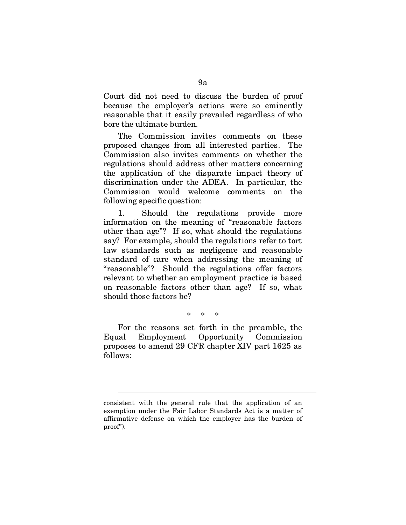Court did not need to discuss the burden of proof because the employer's actions were so eminently reasonable that it easily prevailed regardless of who bore the ultimate burden.

The Commission invites comments on these proposed changes from all interested parties. The Commission also invites comments on whether the regulations should address other matters concerning the application of the disparate impact theory of discrimination under the ADEA. In particular, the Commission would welcome comments on the following specific question:

1. Should the regulations provide more information on the meaning of "reasonable factors other than age"? If so, what should the regulations say? For example, should the regulations refer to tort law standards such as negligence and reasonable standard of care when addressing the meaning of "reasonable"? Should the regulations offer factors relevant to whether an employment practice is based on reasonable factors other than age? If so, what should those factors be?

\* \* \*

For the reasons set forth in the preamble, the Equal Employment Opportunity Commission proposes to amend 29 CFR chapter XIV part 1625 as follows:

consistent with the general rule that the application of an exemption under the Fair Labor Standards Act is a matter of affirmative defense on which the employer has the burden of proof").